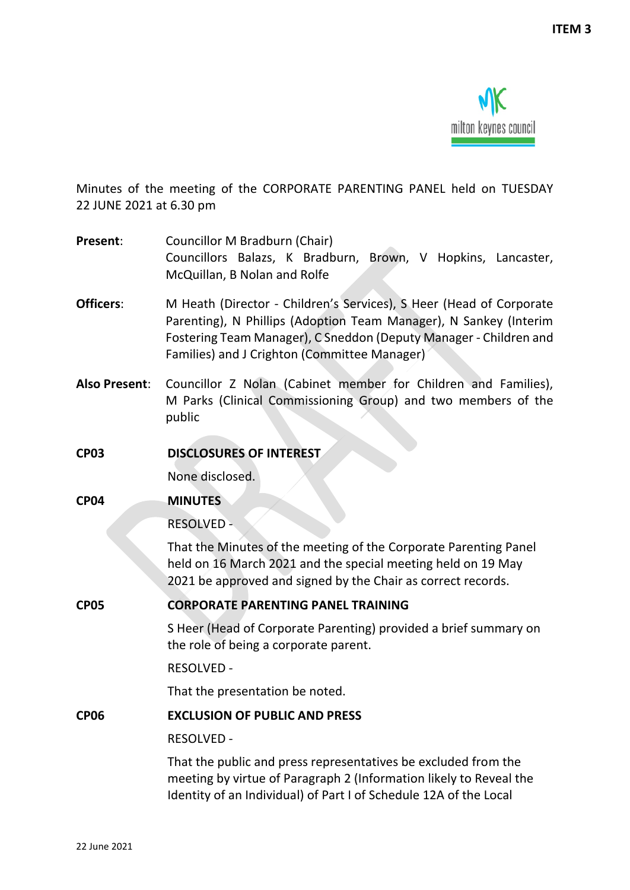

Minutes of the meeting of the CORPORATE PARENTING PANEL held on TUESDAY 22 JUNE 2021 at 6.30 pm

- **Present:** Councillor M Bradburn (Chair) Councillors Balazs, K Bradburn, Brown, V Hopkins, Lancaster, McQuillan, B Nolan and Rolfe
- **Officers**: M Heath (Director Children's Services), S Heer (Head of Corporate Parenting), N Phillips (Adoption Team Manager), N Sankey (Interim Fostering Team Manager), C Sneddon (Deputy Manager - Children and Families) and J Crighton (Committee Manager)
- **Also Present**: Councillor Z Nolan (Cabinet member for Children and Families), M Parks (Clinical Commissioning Group) and two members of the public
- **CP03 DISCLOSURES OF INTEREST**

None disclosed.

**CP04 MINUTES**

RESOLVED -

That the Minutes of the meeting of the Corporate Parenting Panel held on 16 March 2021 and the special meeting held on 19 May 2021 be approved and signed by the Chair as correct records.

**CP05 CORPORATE PARENTING PANEL TRAINING**

S Heer (Head of Corporate Parenting) provided a brief summary on the role of being a corporate parent.

RESOLVED -

That the presentation be noted.

**CP06 EXCLUSION OF PUBLIC AND PRESS**

### RESOLVED -

That the public and press representatives be excluded from the meeting by virtue of Paragraph 2 (Information likely to Reveal the Identity of an Individual) of Part I of Schedule 12A of the Local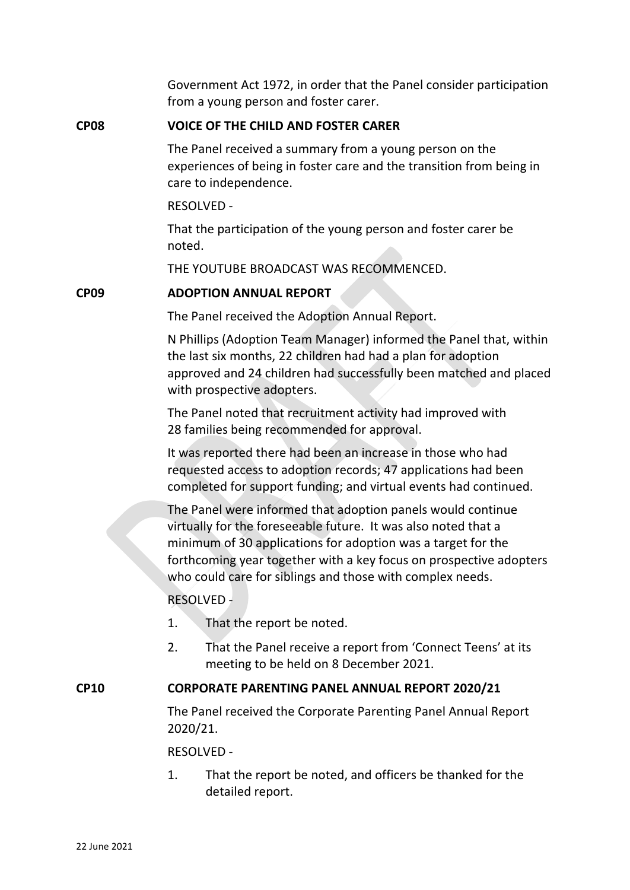Government Act 1972, in order that the Panel consider participation from a young person and foster carer.

### **CP08 VOICE OF THE CHILD AND FOSTER CARER**

The Panel received a summary from a young person on the experiences of being in foster care and the transition from being in care to independence.

RESOLVED -

That the participation of the young person and foster carer be noted.

THE YOUTUBE BROADCAST WAS RECOMMENCED.

### **CP09 ADOPTION ANNUAL REPORT**

The Panel received the Adoption Annual Report.

N Phillips (Adoption Team Manager) informed the Panel that, within the last six months, 22 children had had a plan for adoption approved and 24 children had successfully been matched and placed with prospective adopters.

The Panel noted that recruitment activity had improved with 28 families being recommended for approval.

It was reported there had been an increase in those who had requested access to adoption records; 47 applications had been completed for support funding; and virtual events had continued.

The Panel were informed that adoption panels would continue virtually for the foreseeable future. It was also noted that a minimum of 30 applications for adoption was a target for the forthcoming year together with a key focus on prospective adopters who could care for siblings and those with complex needs.

RESOLVED -

- 1. That the report be noted.
- 2. That the Panel receive a report from 'Connect Teens' at its meeting to be held on 8 December 2021.

# **CP10 CORPORATE PARENTING PANEL ANNUAL REPORT 2020/21**

The Panel received the Corporate Parenting Panel Annual Report 2020/21.

RESOLVED -

1. That the report be noted, and officers be thanked for the detailed report.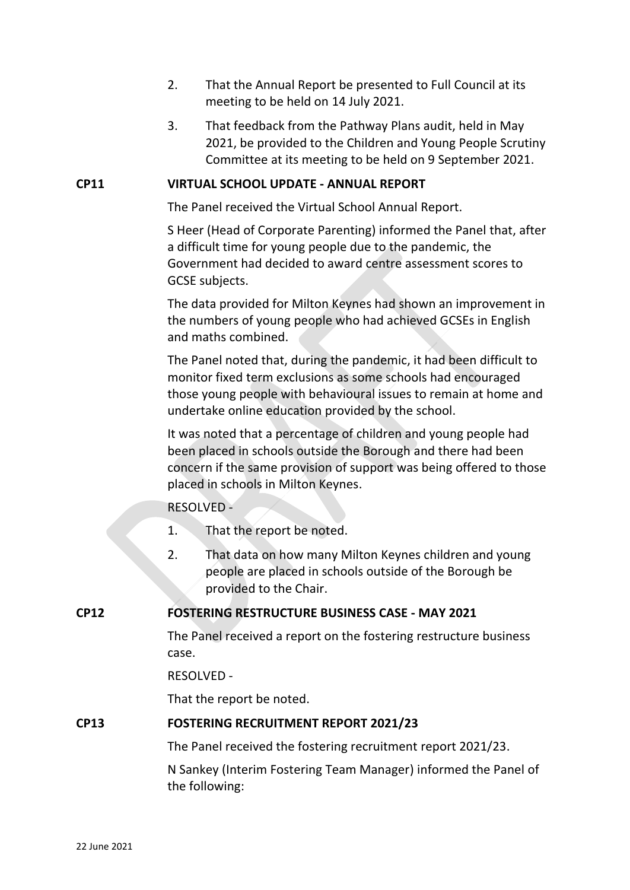- 2. That the Annual Report be presented to Full Council at its meeting to be held on 14 July 2021.
- 3. That feedback from the Pathway Plans audit, held in May 2021, be provided to the Children and Young People Scrutiny Committee at its meeting to be held on 9 September 2021.

# **CP11 VIRTUAL SCHOOL UPDATE - ANNUAL REPORT**

The Panel received the Virtual School Annual Report.

S Heer (Head of Corporate Parenting) informed the Panel that, after a difficult time for young people due to the pandemic, the Government had decided to award centre assessment scores to GCSE subjects.

The data provided for Milton Keynes had shown an improvement in the numbers of young people who had achieved GCSEs in English and maths combined.

The Panel noted that, during the pandemic, it had been difficult to monitor fixed term exclusions as some schools had encouraged those young people with behavioural issues to remain at home and undertake online education provided by the school.

It was noted that a percentage of children and young people had been placed in schools outside the Borough and there had been concern if the same provision of support was being offered to those placed in schools in Milton Keynes.

# RESOLVED -

- 1. That the report be noted.
- 2. That data on how many Milton Keynes children and young people are placed in schools outside of the Borough be provided to the Chair.

# **CP12 FOSTERING RESTRUCTURE BUSINESS CASE - MAY 2021**

The Panel received a report on the fostering restructure business case.

# RESOLVED -

That the report be noted.

# **CP13 FOSTERING RECRUITMENT REPORT 2021/23**

The Panel received the fostering recruitment report 2021/23.

N Sankey (Interim Fostering Team Manager) informed the Panel of the following: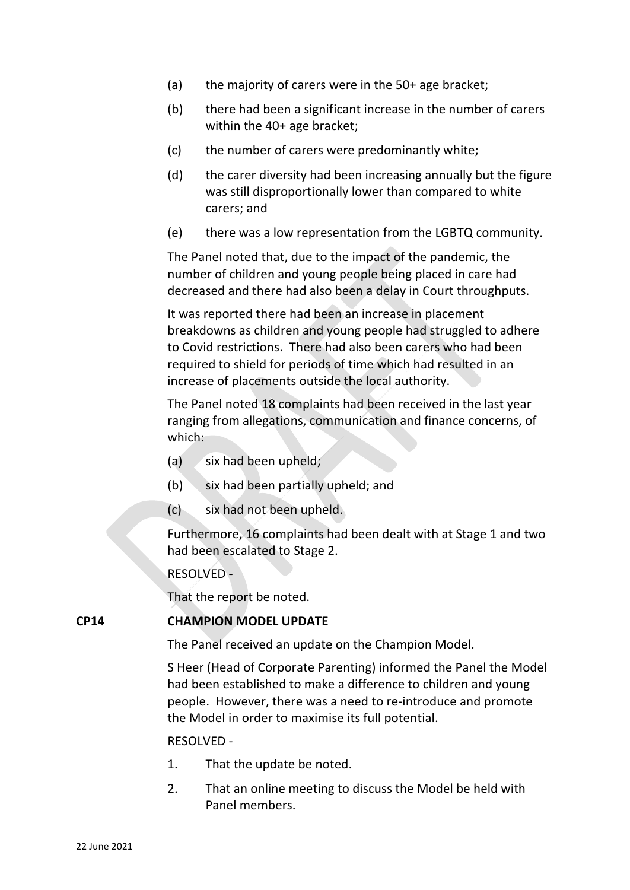- (a) the majority of carers were in the 50+ age bracket;
- (b) there had been a significant increase in the number of carers within the 40+ age bracket;
- (c) the number of carers were predominantly white;
- (d) the carer diversity had been increasing annually but the figure was still disproportionally lower than compared to white carers; and
- (e) there was a low representation from the LGBTQ community.

The Panel noted that, due to the impact of the pandemic, the number of children and young people being placed in care had decreased and there had also been a delay in Court throughputs.

It was reported there had been an increase in placement breakdowns as children and young people had struggled to adhere to Covid restrictions. There had also been carers who had been required to shield for periods of time which had resulted in an increase of placements outside the local authority.

The Panel noted 18 complaints had been received in the last year ranging from allegations, communication and finance concerns, of which:

- (a) six had been upheld;
- (b) six had been partially upheld; and
- (c) six had not been upheld.

Furthermore, 16 complaints had been dealt with at Stage 1 and two had been escalated to Stage 2.

RESOLVED -

That the report be noted.

### **CP14 CHAMPION MODEL UPDATE**

The Panel received an update on the Champion Model.

S Heer (Head of Corporate Parenting) informed the Panel the Model had been established to make a difference to children and young people. However, there was a need to re-introduce and promote the Model in order to maximise its full potential.

#### RESOLVED -

- 1. That the update be noted.
- 2. That an online meeting to discuss the Model be held with Panel members.